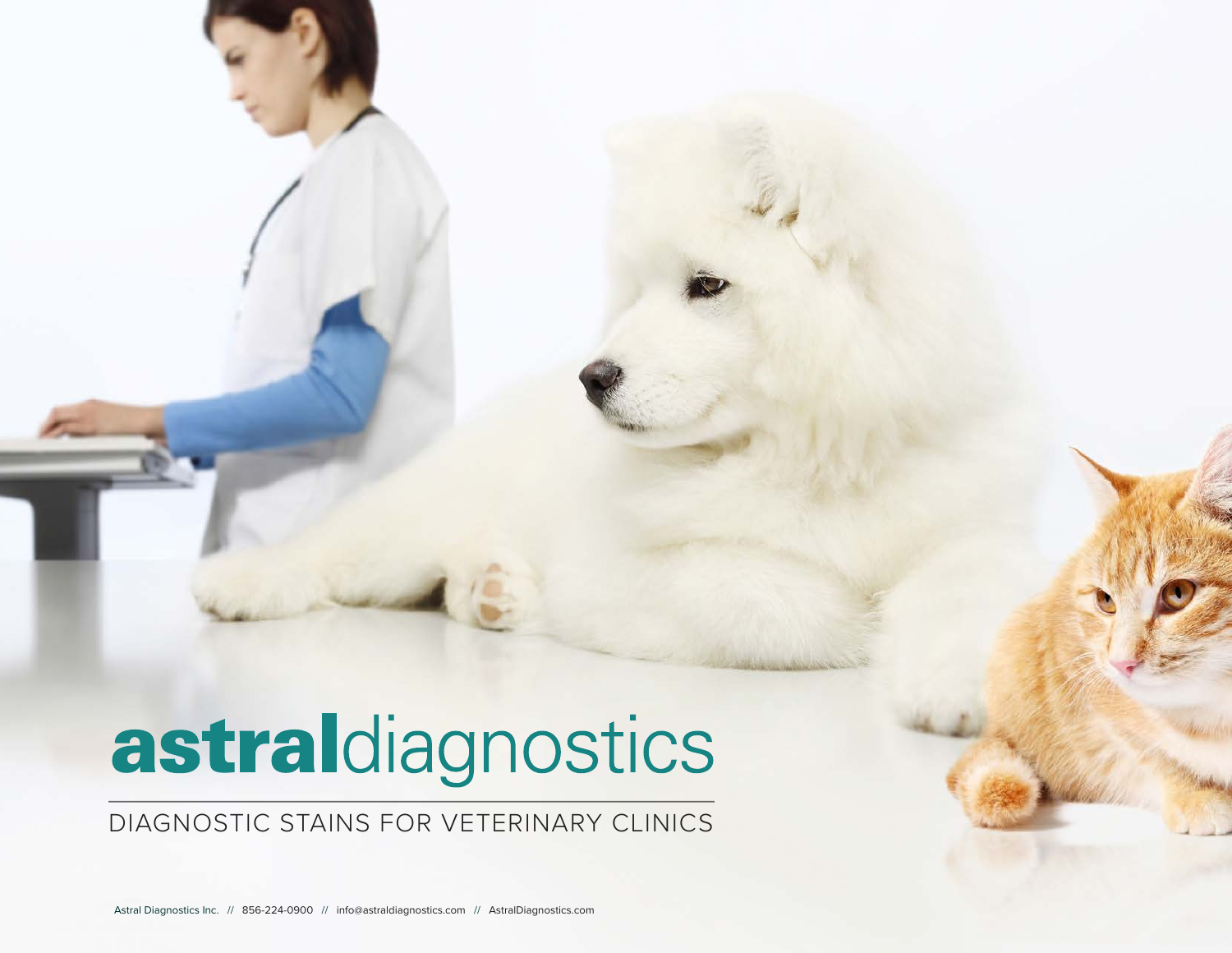# astraldiagnostics

# DIAGNOSTIC STAINS FOR VETERINARY CLINICS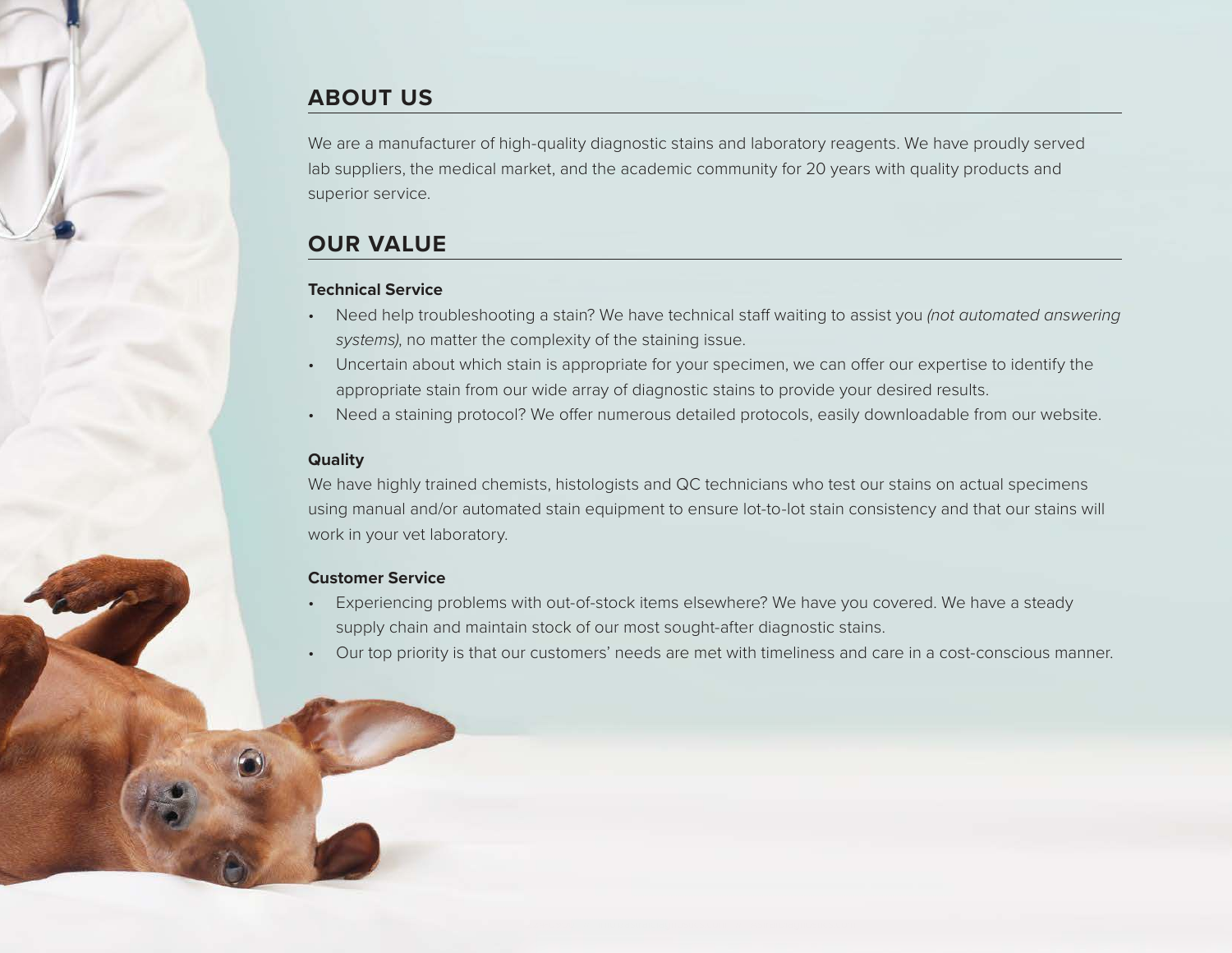# **ABOUT US**

We are a manufacturer of high-quality diagnostic stains and laboratory reagents. We have proudly served lab suppliers, the medical market, and the academic community for 20 years with quality products and superior service.

# **OUR VALUE**

#### **Technical Service**

- Need help troubleshooting a stain? We have technical staff waiting to assist you *(not automated answering* systems), no matter the complexity of the staining issue.
- Uncertain about which stain is appropriate for your specimen, we can offer our expertise to identify the appropriate stain from our wide array of diagnostic stains to provide your desired results.
- Need a staining protocol? We offer numerous detailed protocols, easily downloadable from our website.

#### **Quality**

We have highly trained chemists, histologists and QC technicians who test our stains on actual specimens using manual and/or automated stain equipment to ensure lot-to-lot stain consistency and that our stains will work in your vet laboratory.

#### **Customer Service**

- Experiencing problems with out-of-stock items elsewhere? We have you covered. We have a steady supply chain and maintain stock of our most sought-after diagnostic stains.
- Our top priority is that our customers' needs are met with timeliness and care in a cost-conscious manner.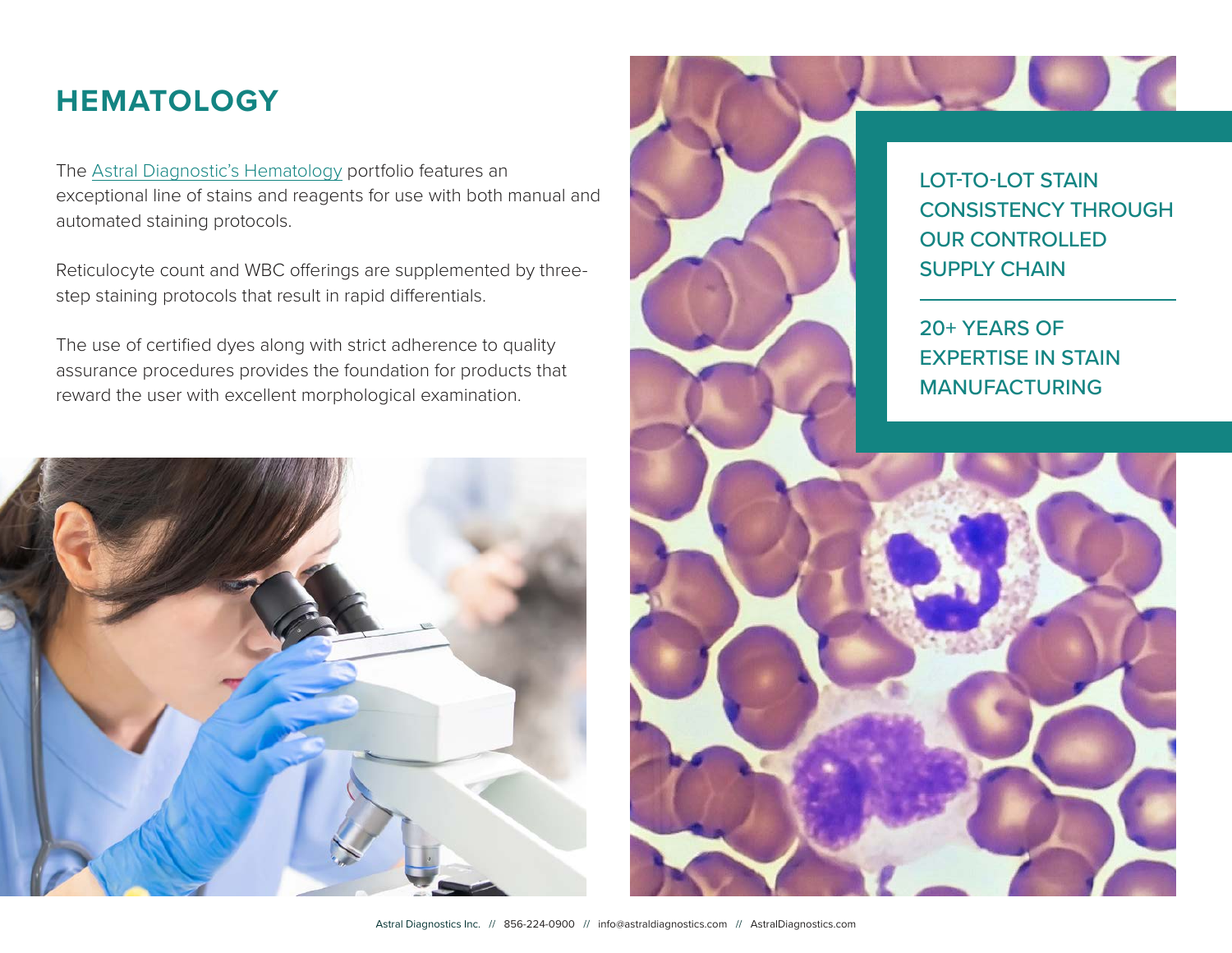# **HEMATOLOGY**

The [Astral Diagnostic's Hematology](https://www.astraldiagnostics.com/category-s/142.htm) portfolio features an exceptional line of stains and reagents for use with both manual and automated staining protocols.

Reticulocyte count and WBC offerings are supplemented by threestep staining protocols that result in rapid differentials.

The use of certified dyes along with strict adherence to quality assurance procedures provides the foundation for products that reward the user with excellent morphological examination.



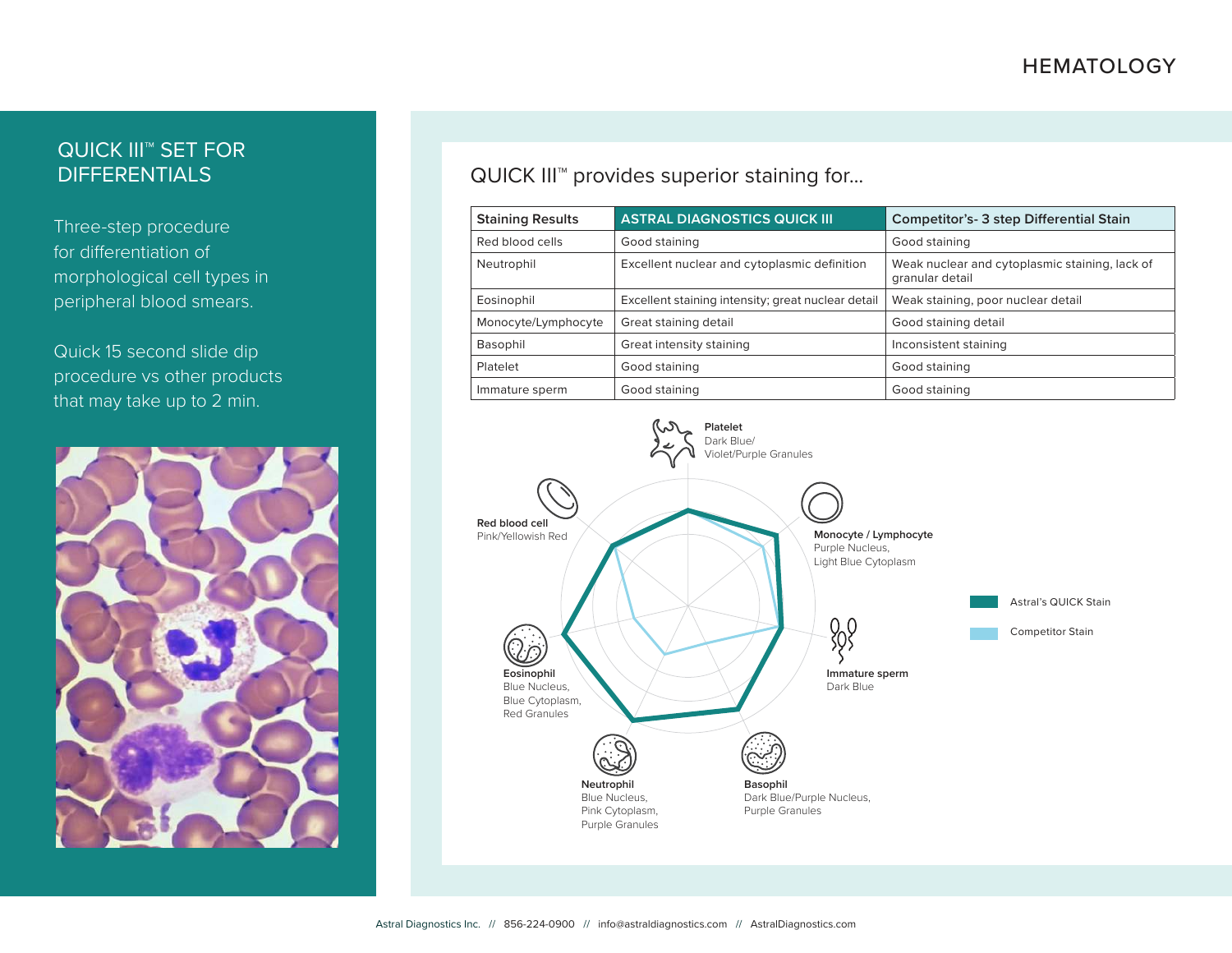# QUICK III™ SET FOR **DIFFERENTIALS**

Three-step procedure for differentiation of morphological cell types in peripheral blood smears.

Quick 15 second slide dip procedure vs other products that may take up to 2 min.



QUICK III™ provides superior staining for...

| <b>Staining Results</b> | <b>ASTRAL DIAGNOSTICS QUICK III</b>                | <b>Competitor's-3 step Differential Stain</b>                     |  |
|-------------------------|----------------------------------------------------|-------------------------------------------------------------------|--|
| Red blood cells         | Good staining                                      | Good staining                                                     |  |
| Neutrophil              | Excellent nuclear and cytoplasmic definition       | Weak nuclear and cytoplasmic staining, lack of<br>granular detail |  |
| Eosinophil              | Excellent staining intensity; great nuclear detail | Weak staining, poor nuclear detail                                |  |
| Monocyte/Lymphocyte     | Great staining detail                              | Good staining detail                                              |  |
| Basophil                | Great intensity staining                           | Inconsistent staining                                             |  |
| Platelet                | Good staining                                      | Good staining                                                     |  |
| Immature sperm          | Good staining                                      | Good staining                                                     |  |

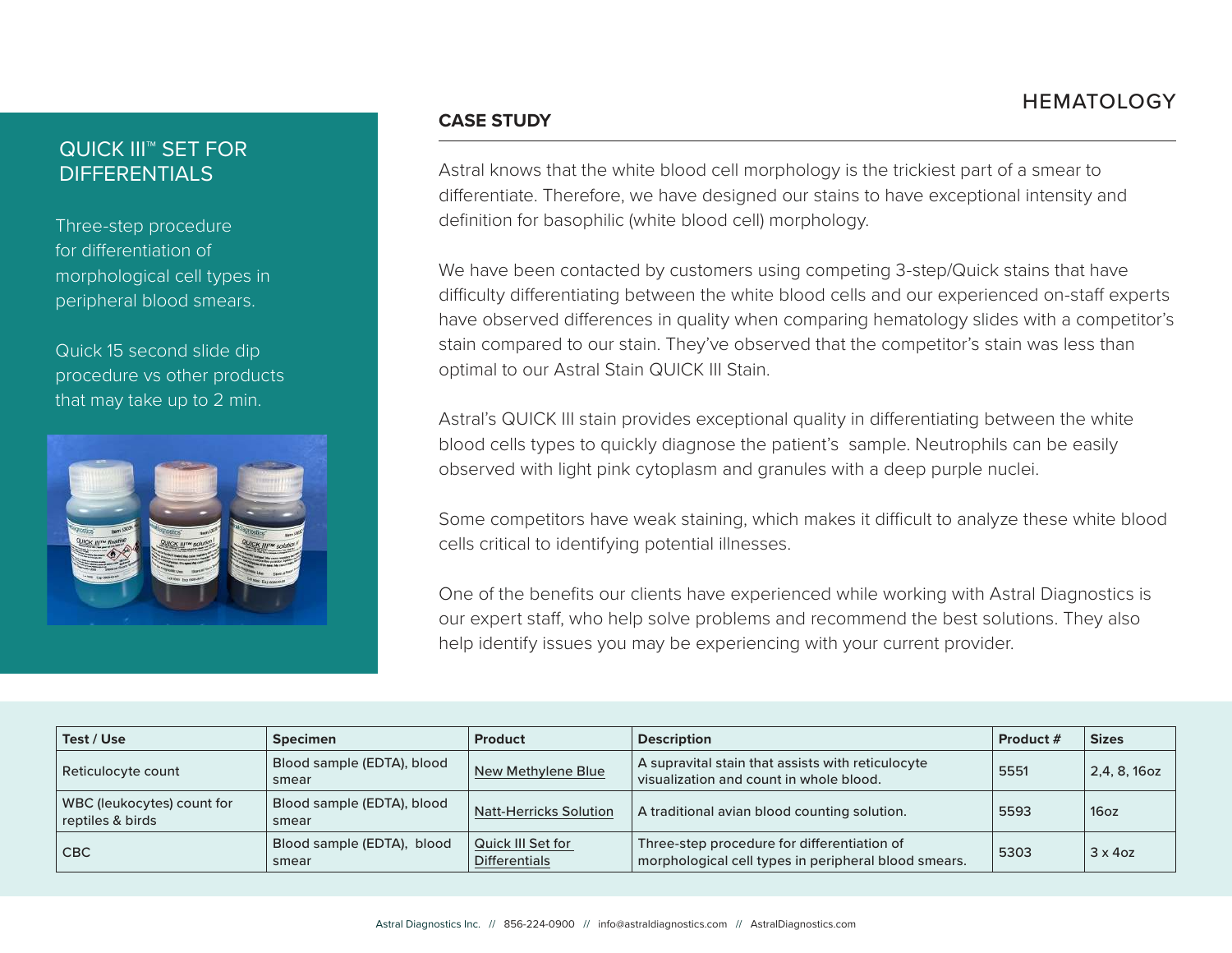# QUICK III™ SET FOR DIFFERENTIALS

Three-step procedure for differentiation of morphological cell types in peripheral blood smears.

Quick 15 second slide dip procedure vs other products that may take up to 2 min.



#### **CASE STUDY**

Astral knows that the white blood cell morphology is the trickiest part of a smear to differentiate. Therefore, we have designed our stains to have exceptional intensity and definition for basophilic (white blood cell) morphology.

We have been contacted by customers using competing 3-step/Quick stains that have difficulty differentiating between the white blood cells and our experienced on-staff experts have observed differences in quality when comparing hematology slides with a competitor's stain compared to our stain. They've observed that the competitor's stain was less than optimal to our Astral Stain QUICK III Stain.

Astral's QUICK III stain provides exceptional quality in differentiating between the white blood cells types to quickly diagnose the patient's sample. Neutrophils can be easily observed with light pink cytoplasm and granules with a deep purple nuclei.

Some competitors have weak staining, which makes it difficult to analyze these white blood cells critical to identifying potential illnesses.

One of the benefits our clients have experienced while working with Astral Diagnostics is our expert staff, who help solve problems and recommend the best solutions. They also help identify issues you may be experiencing with your current provider.

| Test / Use                                     | <b>Specimen</b>                     | Product                                                                                                                                          | <b>Description</b>                                                                           | Product # | <b>Sizes</b>     |
|------------------------------------------------|-------------------------------------|--------------------------------------------------------------------------------------------------------------------------------------------------|----------------------------------------------------------------------------------------------|-----------|------------------|
| Reticulocyte count                             | Blood sample (EDTA), blood<br>smear | New Methylene Blue                                                                                                                               | A supravital stain that assists with reticulocyte<br>visualization and count in whole blood. | 5551      | 2,4, 8, 16oz     |
| WBC (leukocytes) count for<br>reptiles & birds | Blood sample (EDTA), blood<br>smear | A traditional avian blood counting solution.<br>Natt-Herricks Solution                                                                           |                                                                                              | 5593      | 16 <sub>oz</sub> |
| <b>CBC</b>                                     | Blood sample (EDTA), blood<br>smear | Quick III Set for<br>Three-step procedure for differentiation of<br>morphological cell types in peripheral blood smears.<br><b>Differentials</b> |                                                                                              | 5303      | $3 \times 4$ oz  |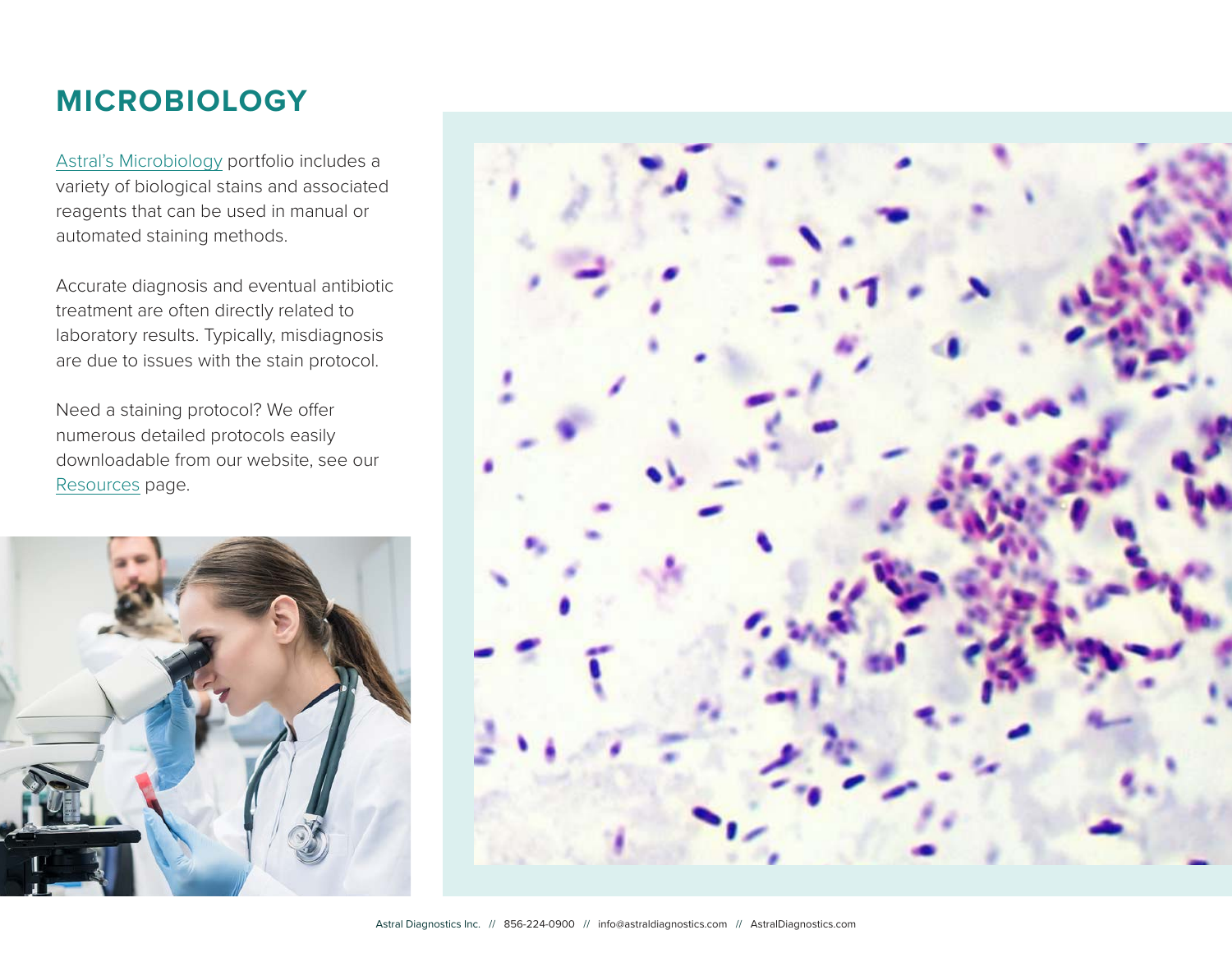# **MICROBIOLOGY**

[Astral's Microbiology](https://www.astraldiagnostics.com/category-s/143.htm) portfolio includes a variety of biological stains and associated reagents that can be used in manual or automated staining methods.

Accurate diagnosis and eventual antibiotic treatment are often directly related to laboratory results. Typically, misdiagnosis are due to issues with the stain protocol.

Need a staining protocol? We offer numerous detailed protocols easily downloadable from our website, see our [Resources](https://www.astraldiagnostics.com/category-s/189.htm) page.



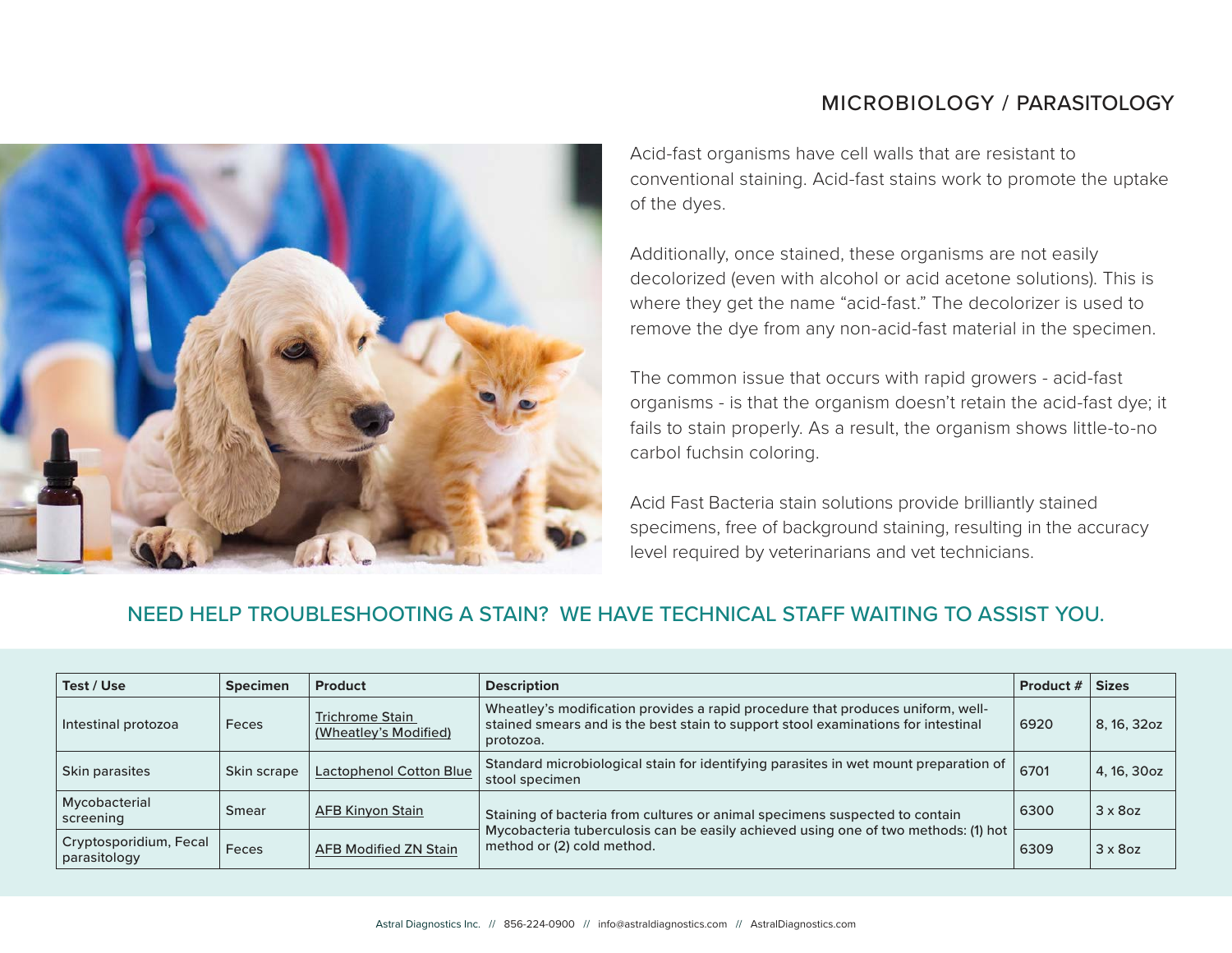# MICROBIOLOGY / PARASITOLOGY



Acid-fast organisms have cell walls that are resistant to conventional staining. Acid-fast stains work to promote the uptake of the dyes.

Additionally, once stained, these organisms are not easily decolorized (even with alcohol or acid acetone solutions). This is where they get the name "acid-fast." The decolorizer is used to remove the dye from any non-acid-fast material in the specimen.

The common issue that occurs with rapid growers - acid-fast organisms - is that the organism doesn't retain the acid-fast dye; it fails to stain properly. As a result, the organism shows little-to-no carbol fuchsin coloring.

Acid Fast Bacteria stain solutions provide brilliantly stained specimens, free of background staining, resulting in the accuracy level required by veterinarians and vet technicians.

## NEED HELP TROUBLESHOOTING A STAIN? WE HAVE TECHNICAL STAFF WAITING TO ASSIST YOU.

| Test / Use                             | <b>Specimen</b> | <b>Product</b>                                  | <b>Description</b>                                                                                                                                                                                              | <b>Product #</b> | <b>Sizes</b>    |
|----------------------------------------|-----------------|-------------------------------------------------|-----------------------------------------------------------------------------------------------------------------------------------------------------------------------------------------------------------------|------------------|-----------------|
| Intestinal protozoa                    | Feces           | <b>Trichrome Stain</b><br>(Wheatley's Modified) | Wheatley's modification provides a rapid procedure that produces uniform, well-<br>stained smears and is the best stain to support stool examinations for intestinal<br>protozoa.                               | 6920             | 8, 16, 32oz     |
| Skin parasites                         | Skin scrape     | <b>Lactophenol Cotton Blue</b>                  | Standard microbiological stain for identifying parasites in wet mount preparation of<br>stool specimen                                                                                                          | 6701             | 4, 16, 30oz     |
| Mycobacterial<br>screening             | Smear           | <b>AFB Kinyon Stain</b>                         | 6300<br>Staining of bacteria from cultures or animal specimens suspected to contain<br>Mycobacteria tuberculosis can be easily achieved using one of two methods: (1) hot<br>method or (2) cold method.<br>6309 |                  | $3 \times 8$ oz |
| Cryptosporidium, Fecal<br>parasitology | Feces           | <b>AFB Modified ZN Stain</b>                    |                                                                                                                                                                                                                 |                  | $3 \times 8$ oz |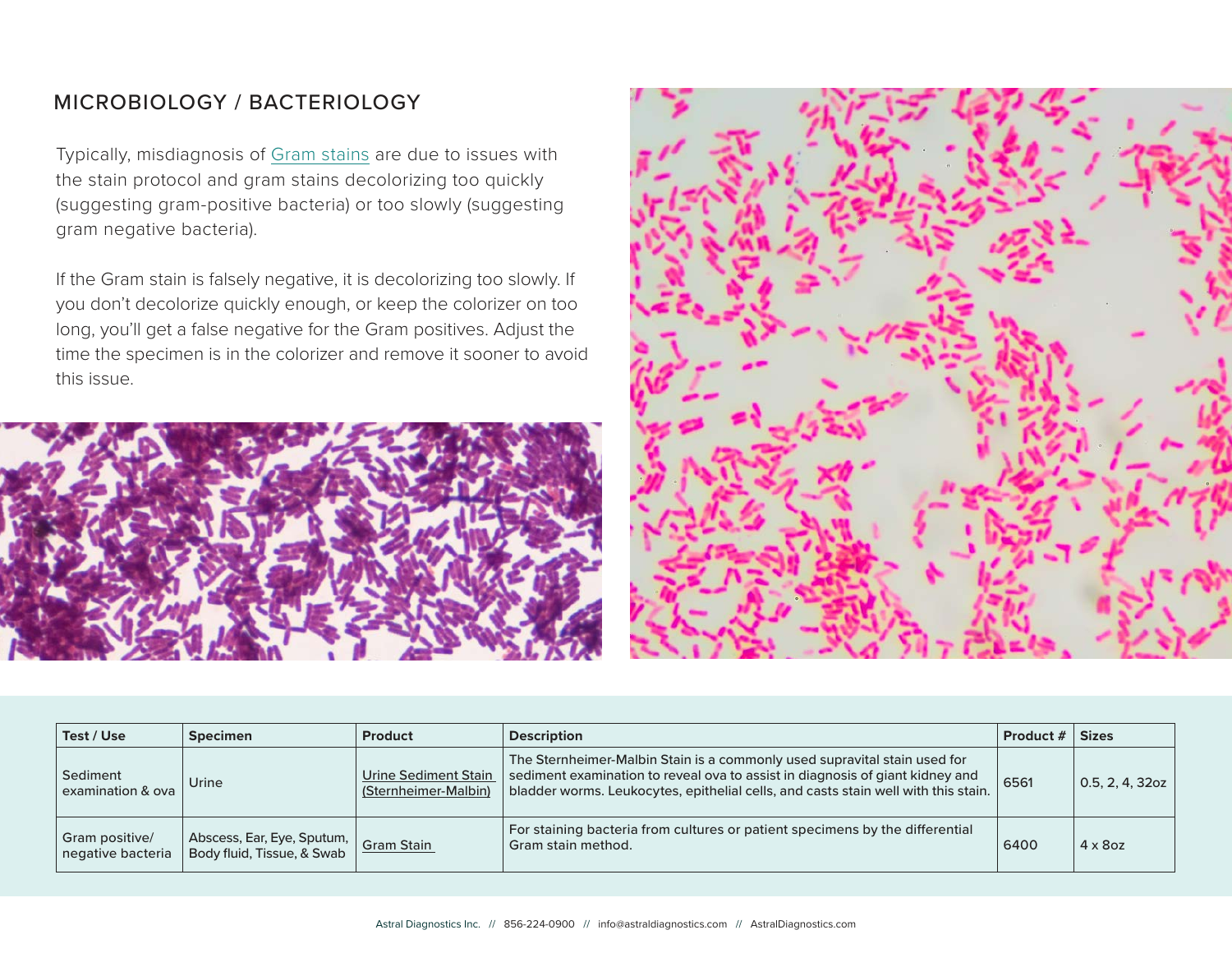# MICROBIOLOGY / BACTERIOLOGY

Typically, misdiagnosis of [Gram stains](https://www.astraldiagnostics.com/category-s/159.htm) are due to issues with the stain protocol and gram stains decolorizing too quickly (suggesting gram-positive bacteria) or too slowly (suggesting gram negative bacteria).

If the Gram stain is falsely negative, it is decolorizing too slowly. If you don't decolorize quickly enough, or keep the colorizer on too long, you'll get a false negative for the Gram positives. Adjust the time the specimen is in the colorizer and remove it sooner to avoid this issue.





| Test / Use                                                                   | <b>Specimen</b> | <b>Product</b>                               | <b>Description</b>                                                                                                                                                                                                                               | Product # | <b>Sizes</b>       |
|------------------------------------------------------------------------------|-----------------|----------------------------------------------|--------------------------------------------------------------------------------------------------------------------------------------------------------------------------------------------------------------------------------------------------|-----------|--------------------|
| Sediment<br>examination & ova                                                | Urine           | Urine Sediment Stain<br>(Sternheimer-Malbin) | The Sternheimer-Malbin Stain is a commonly used supravital stain used for<br>sediment examination to reveal ova to assist in diagnosis of giant kidney and<br>bladder worms. Leukocytes, epithelial cells, and casts stain well with this stain. | 6561      | $0.5, 2, 4, 32$ oz |
| Abscess, Ear, Eye, Sputum, Sram Stain<br>Gram positive/<br>negative bacteria |                 |                                              | For staining bacteria from cultures or patient specimens by the differential<br>Gram stain method.                                                                                                                                               |           | $4 \times 8$ oz    |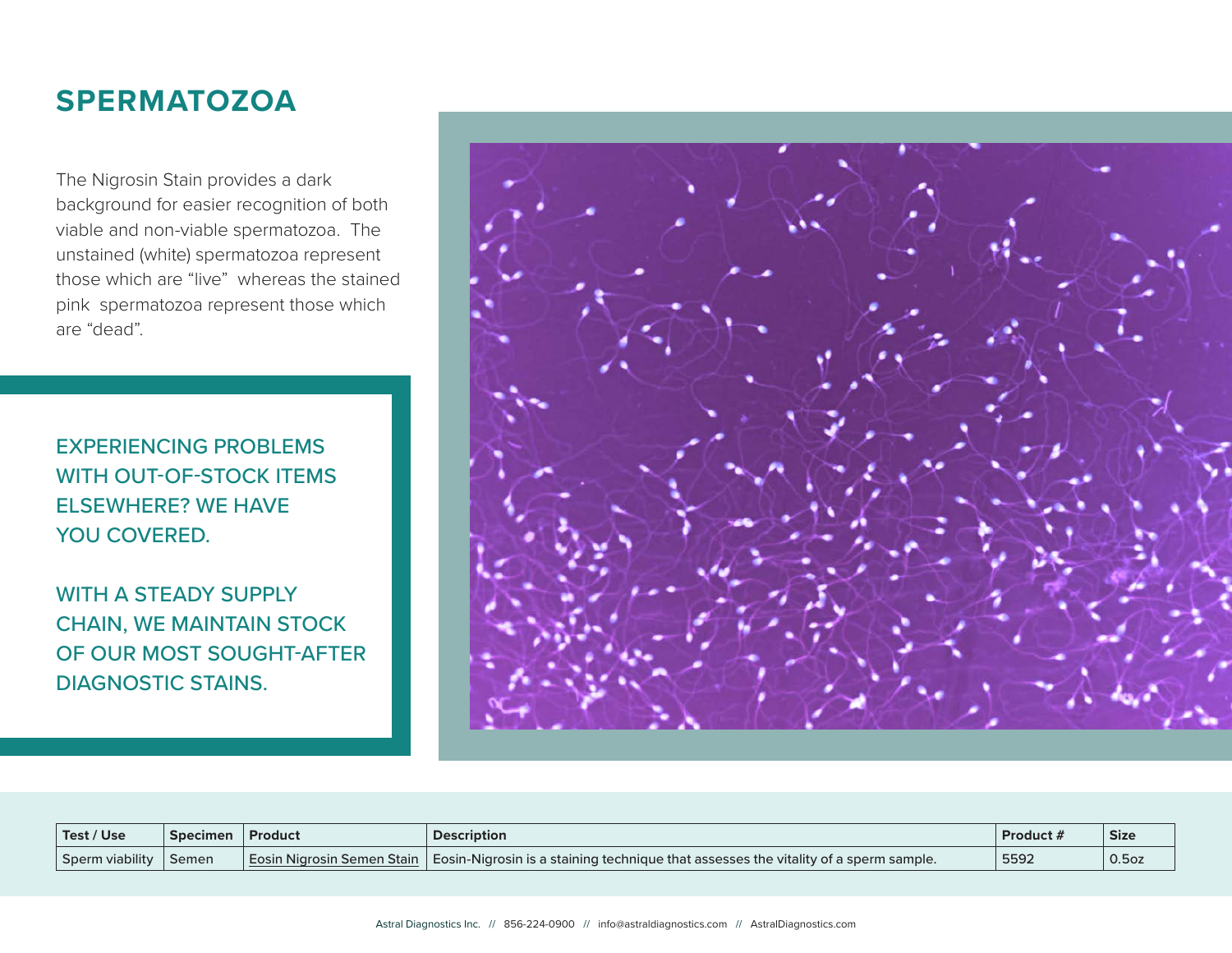# **SPERMATOZOA**

The Nigrosin Stain provides a dark background for easier recognition of both viable and non-viable spermatozoa. The unstained (white) spermatozoa represent those which are "live" whereas the stained pink spermatozoa represent those which are "dead".

EXPERIENCING PROBLEMS WITH OUT-OF-STOCK ITEMS ELSEWHERE? WE HAVE YOU COVERED.

WITH A STEADY SUPPLY CHAIN, WE MAINTAIN STOCK OF OUR MOST SOUGHT-AFTER DIAGNOSTIC STAINS.



| Test / Use      | <b>Specimen</b> | Product | <b>Description</b>                                                                                                            | Product / | <b>Size</b>       |
|-----------------|-----------------|---------|-------------------------------------------------------------------------------------------------------------------------------|-----------|-------------------|
| Sperm viability | ' Semen         |         | $\mid$ Eosin Nigrosin Semen Stain $\mid$ Eosin-Nigrosin is a staining technigue that assesses the vitality of a sperm sample. | 5592      | 0.5 <sub>oz</sub> |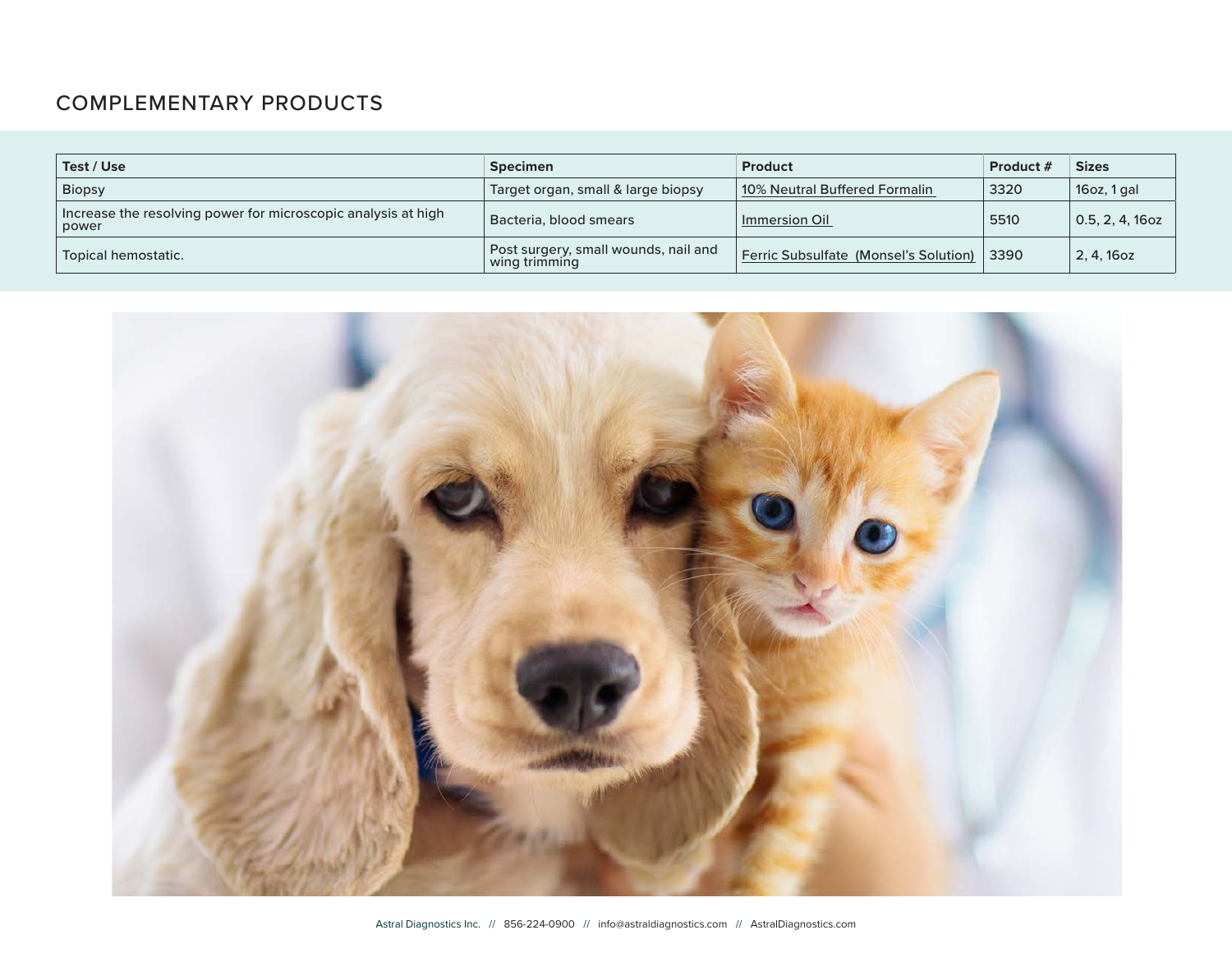# COMPLEMENTARY PRODUCTS

| Test / Use                                                             | <b>Specimen</b>                                       | <b>Product</b>                        | Product # | <b>Sizes</b>    |
|------------------------------------------------------------------------|-------------------------------------------------------|---------------------------------------|-----------|-----------------|
| <b>Biopsy</b>                                                          | Target organ, small & large biopsy                    | 10% Neutral Buffered Formalin         | 3320      | $16$ oz, 1 gal  |
| Increase the resolving power for microscopic analysis at high<br>power | Bacteria, blood smears                                | Immersion Oil                         | 5510      | 0.5, 2, 4, 16oz |
| Topical hemostatic.                                                    | Post surgery, small wounds, nail and<br>wing trimming | Ferric Subsulfate (Monsel's Solution) | 3390      | 2, 4, 16oz      |

![](_page_9_Picture_2.jpeg)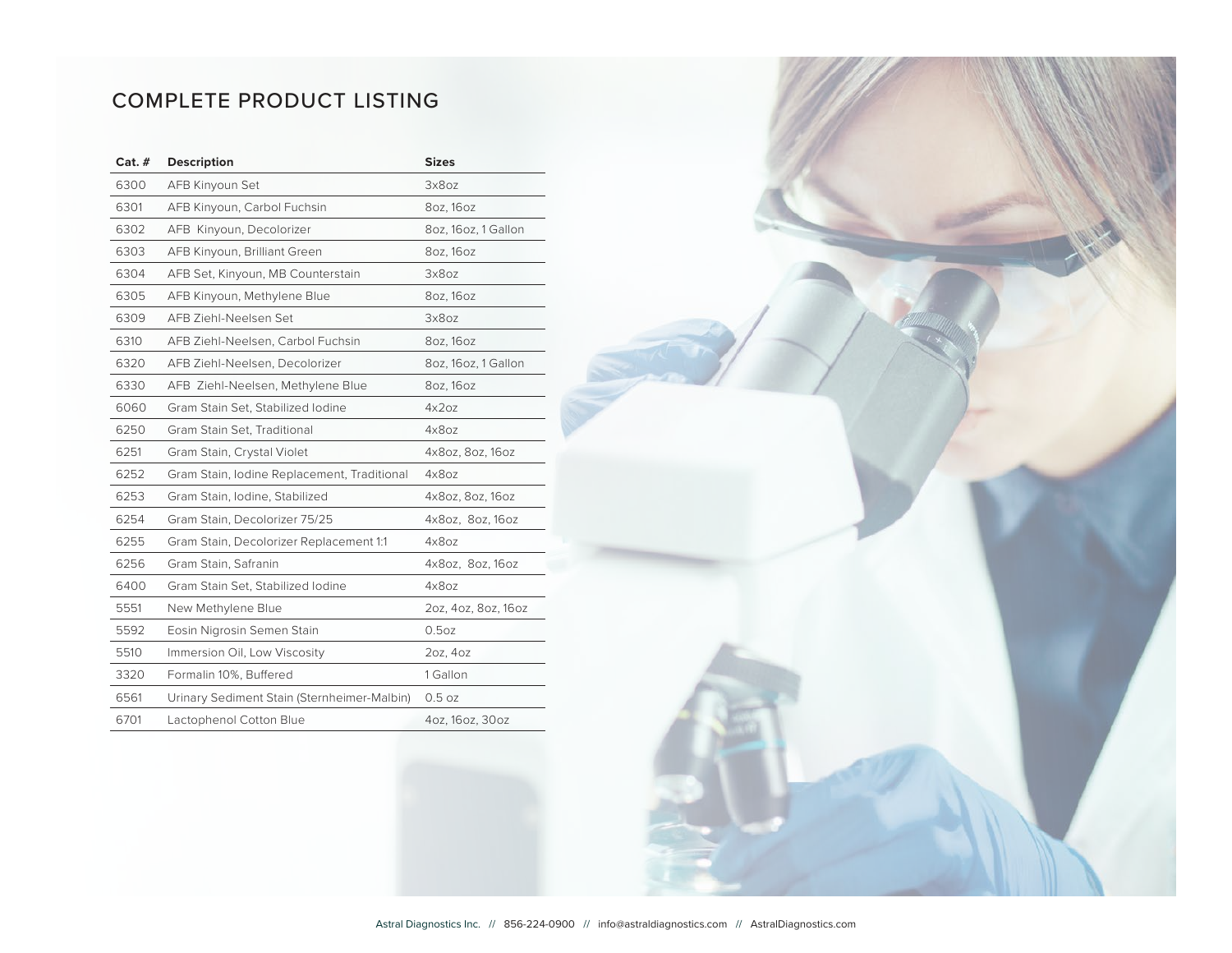# COMPLETE PRODUCT LISTING

| $Cat.$ # | <b>Description</b>                          | <b>Sizes</b>        |
|----------|---------------------------------------------|---------------------|
| 6300     | AFB Kinyoun Set                             | 3x8oz               |
| 6301     | AFB Kinyoun, Carbol Fuchsin                 | 80z, 160z           |
| 6302     | AFB Kinyoun, Decolorizer                    | 8oz, 16oz, 1 Gallon |
| 6303     | AFB Kinyoun, Brilliant Green                | 80z, 160z           |
| 6304     | AFB Set, Kinyoun, MB Counterstain           | 3x8oz               |
| 6305     | AFB Kinyoun, Methylene Blue                 | 80z, 160z           |
| 6309     | AFB Ziehl-Neelsen Set                       | 3x8oz               |
| 6310     | AFB Ziehl-Neelsen, Carbol Fuchsin           | 80z, 160z           |
| 6320     | AFB Ziehl-Neelsen, Decolorizer              | 8oz, 16oz, 1 Gallon |
| 6330     | AFB Ziehl-Neelsen, Methylene Blue           | 80z, 160z           |
| 6060     | Gram Stain Set, Stabilized Iodine           | 4x207               |
| 6250     | Gram Stain Set, Traditional                 | 4x8oz               |
| 6251     | Gram Stain, Crystal Violet                  | 4x8oz, 8oz, 16oz    |
| 6252     | Gram Stain, Iodine Replacement, Traditional | 4x8oz               |
| 6253     | Gram Stain, Iodine, Stabilized              | 4x8oz, 8oz, 16oz    |
| 6254     | Gram Stain, Decolorizer 75/25               | 4x8oz, 8oz, 16oz    |
| 6255     | Gram Stain, Decolorizer Replacement 1:1     | 4x8oz               |
| 6256     | Gram Stain, Safranin                        | 4x8oz, 8oz, 16oz    |
| 6400     | Gram Stain Set, Stabilized Iodine           | 4x8oz               |
| 5551     | New Methylene Blue                          | 20z, 40z, 80z, 160z |
| 5592     | Eosin Nigrosin Semen Stain                  | 0.5 <sub>oz</sub>   |
| 5510     | Immersion Oil, Low Viscosity                | 20z, 40z            |
| 3320     | Formalin 10%, Buffered                      | 1 Gallon            |
| 6561     | Urinary Sediment Stain (Sternheimer-Malbin) | 0.5oz               |
| 6701     | Lactophenol Cotton Blue                     | 4oz, 16oz, 30oz     |

![](_page_10_Picture_2.jpeg)